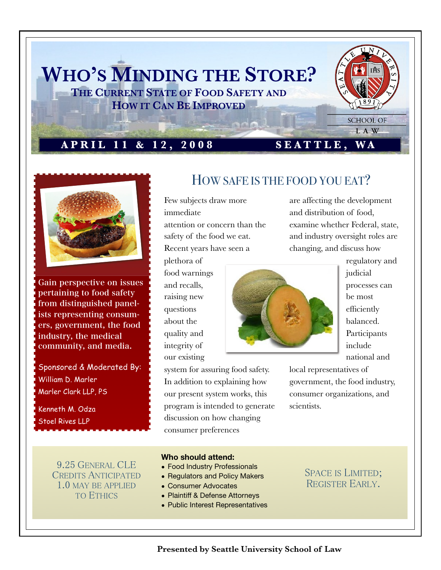



Gain perspective on issues pertaining to food safety from distinguished panelists representing consumers, government, the food industry, the medical community, and media.

Sponsored & Moderated By: William D. Marler Marler Clark LLP, PS

Kenneth M. Odza Stoel Rives LLP

HOW SAFE IS THE FOOD YOU EAT?

Few subjects draw more immediate attention or concern than the safety of the food we eat. Recent years have seen a

plethora of food warnings and recalls, raising new questions about the quality and integrity of our existing



regulatory and judicial processes can be most efficiently balanced. Participants include national and

system for assuring food safety. In addition to explaining how our present system works, this program is intended to generate discussion on how changing consumer preferences

local representatives of government, the food industry, consumer organizations, and scientists.

are affecting the development

examine whether Federal, state, and industry oversight roles are

and distribution of food,

changing, and discuss how

9.25 GENERAL CLE **CREDITS ANTICIPATED** 1.0 MAY BE APPLIED **TO ETHICS** 

#### **Who should attend:**

- Food Industry Professionals
- Regulators and Policy Makers
- Consumer Advocates
- Plaintiff & Defense Attorneys
- Public Interest Representatives

### **SPACE IS LIMITED;** REGISTER EARLY.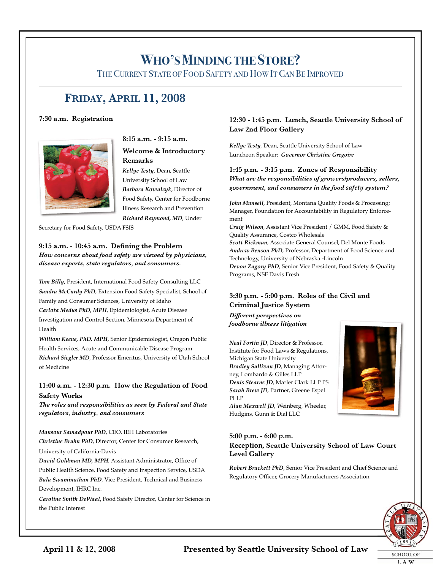## **WHO'SMINDING THE STORE?**

THECURRENT STATE OF FOOD SAFETY AND HOW ITCAN BE IMPROVED

## **FRIDAY, APRIL 11, 2008**

#### **7:30 a.m. Registration**



**8:15 a.m. - 9:15 a.m.**

#### **Welcome & Introductory Remarks**

*Kellye Testy*, Dean, Seattle University School of Law *Barbara Kowalcyk*, Director of Food Safety, Center for Foodborne Illness Research and Prevention *Richard Raymond, MD*, Under

Secretary for Food Safety, USDA FSIS

**9:15 a.m. - 10:45 a.m. Defining the Problem** *How concerns about food safety are viewed by physicians, disease experts, state regulators, and consumers.*

*Tom Billy***,** President, International Food Safety Consulting LLC *Sandra McCurdy PhD*, Extension Food Safety Specialist, School of Family and Consumer Sciences, University of Idaho *Carlota Medus PhD, MPH*, Epidemiologist, Acute Disease Investigation and Control Section, Minnesota Department of Health

*William Keene, PhD, MPH*, Senior Epidemiologist, Oregon Public Health Services, Acute and Communicable Disease Program *Richard Siegler MD*, Professor Emeritus, University of Utah School of Medicine

#### **11:00 a.m. - 12:30 p.m. How the Regulation of Food Safety Works**

*The roles and responsibilities as seen by Federal and State regulators, industry, and consumers*

#### *Mansour Samadpour PhD*, CEO, IEH Laboratories

*Christine Bruhn PhD*, Director, Center for Consumer Research, University of California-Davis

*David Goldman MD, MPH*, Assistant Administrator, Office of Public Health Science, Food Safety and Inspection Service, USDA *Bala Swaminathan PhD*, Vice President, Technical and Business Development, IHRC Inc.

*Caroline Smith DeWaal***,** Food Safety Director, Center for Science in the Public Interest

#### **12:30 - 1:45 p.m. Lunch, Seattle University School of Law 2nd Floor Gallery**

*Kellye Testy*, Dean, Seattle University School of Law Luncheon Speaker: *Governor Christine Gregoire*

**1:45 p.m. - 3:15 p.m. Zones of Responsibility** *What are the responsibilities of growers/producers, sellers, government, and consumers in the food safety system?*

*John Munsell*, President, Montana Quality Foods & Processing; Manager, Foundation for Accountability in Regulatory Enforcement

*Craig Wilson*, Assistant Vice President / GMM, Food Safety & Quality Assurance, Costco Wholesale *Scott Rickman*, Associate General Counsel, Del Monte Foods *Andrew Benson PhD*, Professor, Department of Food Science and Technology, University of Nebraska -Lincoln *Devon Zagory PhD*, Senior Vice President, Food Safety & Quality Programs, NSF Davis Fresh

#### **3:30 p.m. - 5:00 p.m. Roles of the Civil and Criminal Justice System**

*Different perspectives on foodborne illness litigation*

*Neal Fortin JD*, Director & Professor, Institute for Food Laws & Regulations, Michigan State University *Bradley Sullivan JD*, Managing Attorney, Lombardo & Gilles LLP *Denis Stearns JD*, Marler Clark LLP PS *Sarah Brew JD*, Partner, Greene Espel PLLP *Alan Maxwell JD*, Weinberg, Wheeler, Hudgins, Gunn & Dial LLC



#### **5:00 p.m. - 6:00 p.m. Reception, Seattle University School of Law Court Level Gallery**

*Robert Brackett PhD*, Senior Vice President and Chief Science and Regulatory Officer, Grocery Manufacturers Association

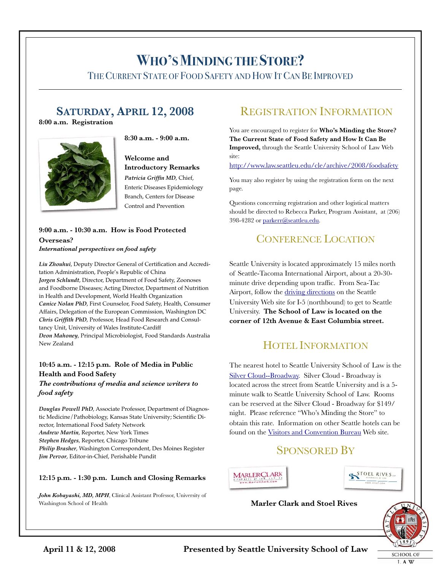# **WHO'SMINDING THE STORE?**

THECURRENT STATE OF FOOD SAFETY AND HOW ITCAN BE IMPROVED

## **SATURDAY, APRIL 12, 2008**

**8:00 a.m. Registration**





#### **Welcome and Introductory Remarks** *Patricia Griffin MD*, Chief, Enteric Diseases Epidemiology Branch, Centers for Disease Control and Prevention

#### **9:00 a.m. - 10:30 a.m. How is Food Protected Overseas?** *International perspectives on food safety*

*Liu Zhouhui*, Deputy Director General of Certification and Accreditation Administration, People's Republic of China *Jorgen Schlundt*, Director, Department of Food Safety, Zoonoses and Foodborne Diseases; Acting Director, Department of Nutrition in Health and Development, World Health Organization *Canice Nolan PhD*, First Counselor, Food Safety, Health, Consumer Affairs, Delegation of the European Commission, Washington DC *Chris Griffith PhD*, Professor, Head Food Research and Consultancy Unit, University of Wales Institute-Cardiff *Deon Mahoney*, Principal Microbiologist, Food Standards Australia New Zealand

#### **10:45 a.m. - 12:15 p.m. Role of Media in Public Health and Food Safety**

*The contributions of media and science writers to food safety*

*Douglas Powell PhD*, Associate Professor, Department of Diagnostic Medicine/Pathobiology, Kansas State University; Scientific Director, International Food Safety Network *Andrew Martin*, Reporter, New York Times *Stephen Hedges*, Reporter, Chicago Tribune *Philip Brasher*, Washington Correspondent, Des Moines Register *Jim Pervor*, Editor-in-Chief, Perishable Pundit

#### **12:15 p.m. - 1:30 p.m. Lunch and Closing Remarks**

*John Kobayashi, MD, MPH*, Clinical Assistant Professor, University of Washington School of Health

### REGISTRATION INFORMATION

You are encouraged to register for **Who's Minding the Store? The Current State of Food Safety and How It Can Be Improved,** through the Seattle University School of Law Web site:

http://www.law.seattleu.edu/cle/archive/2008/foodsafety

You may also register by using the registration form on the next page.

Questions concerning registration and other logistical matters should be directed to Rebecca Parker, Program Assistant, at (206) 398-4282 or parkerr@seattleu.edu.

### CONFERENCE LOCATION

Seattle University is located approximately 15 miles north of Seattle-Tacoma International Airport, about a 20-30 minute drive depending upon traffic. From Sea-Tac Airport, follow the driving directions on the Seattle University Web site for I-5 (northbound) to get to Seattle University. **The School of Law is located on the corner of 12th Avenue & East Columbia street.**

### HOTEL INFORMATION

The nearest hotel to Seattle University School of Law is the Silver Cloud--Broadway. Silver Cloud - Broadway is located across the street from Seattle University and is a 5 minute walk to Seattle University School of Law. Rooms can be reserved at the Silver Cloud - Broadway for \$149/ night. Please reference "Who's Minding the Store" to obtain this rate. Information on other Seattle hotels can be found on the Visitors and Convention Bureau Web site.

### SPONSORED BY





#### **Marler Clark and Stoel Rives**



L A W